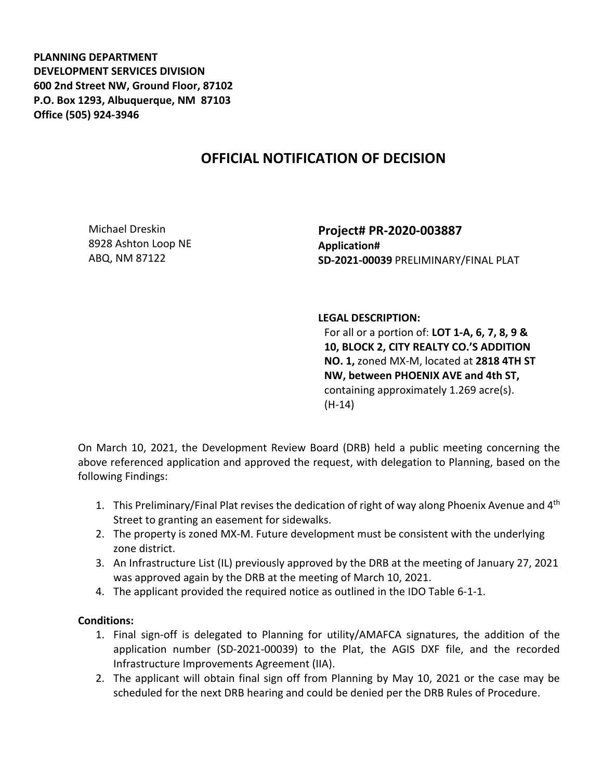**PLANNING DEPARTMENT DEVELOPMENT SERVICES DIVISION 600 2nd Street NW, Ground Floor, 87102 P.O. Box 1293, Albuquerque, NM 87103 Office (505) 924-3946** 

## **OFFICIAL NOTIFICATION OF DECISION**

Michael Dreskin 8928 Ashton Loop NE ABQ, NM 87122

**Project# PR-2020-003887 Application# SD-2021-00039** PRELIMINARY/FINAL PLAT

## **LEGAL DESCRIPTION:**

For all or a portion of: **LOT 1-A, 6, 7, 8, 9 & 10, BLOCK 2, CITY REALTY CO.'S ADDITION NO. 1,** zoned MX-M, located at **2818 4TH ST NW, between PHOENIX AVE and 4th ST,**  containing approximately 1.269 acre(s). (H-14)

On March 10, 2021, the Development Review Board (DRB) held a public meeting concerning the above referenced application and approved the request, with delegation to Planning, based on the following Findings:

- 1. This Preliminary/Final Plat revises the dedication of right of way along Phoenix Avenue and 4<sup>th</sup> Street to granting an easement for sidewalks.
- 2. The property is zoned MX-M. Future development must be consistent with the underlying zone district.
- 3. An Infrastructure List (IL) previously approved by the DRB at the meeting of January 27, 2021 was approved again by the DRB at the meeting of March 10, 2021.
- 4. The applicant provided the required notice as outlined in the IDO Table 6-1-1.

## **Conditions:**

- 1. Final sign-off is delegated to Planning for utility/AMAFCA signatures, the addition of the application number (SD-2021-00039) to the Plat, the AGIS DXF file, and the recorded Infrastructure Improvements Agreement (IIA).
- 2. The applicant will obtain final sign off from Planning by May 10, 2021 or the case may be scheduled for the next DRB hearing and could be denied per the DRB Rules of Procedure.